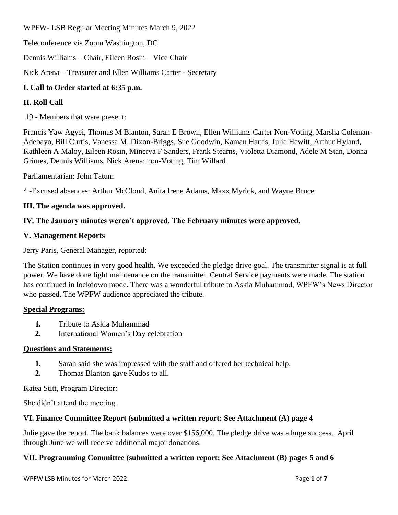WPFW- LSB Regular Meeting Minutes March 9, 2022

Teleconference via Zoom Washington, DC

Dennis Williams – Chair, Eileen Rosin – Vice Chair

Nick Arena – Treasurer and Ellen Williams Carter - Secretary

## **I. Call to Order started at 6:35 p.m.**

## **II. Roll Call**

19 - Members that were present:

Francis Yaw Agyei, Thomas M Blanton, Sarah E Brown, Ellen Williams Carter Non-Voting, Marsha Coleman-Adebayo, Bill Curtis, Vanessa M. Dixon-Briggs, Sue Goodwin, Kamau Harris, Julie Hewitt, Arthur Hyland, Kathleen A Maloy, Eileen Rosin, Minerva F Sanders, Frank Stearns, Violetta Diamond, Adele M Stan, Donna Grimes, Dennis Williams, Nick Arena: non-Voting, Tim Willard

Parliamentarian: John Tatum

4 -Excused absences: Arthur McCloud, Anita Irene Adams, Maxx Myrick, and Wayne Bruce

#### **III. The agenda was approved.**

#### **IV. The January minutes weren't approved. The February minutes were approved.**

#### **V. Management Reports**

Jerry Paris, General Manager, reported:

The Station continues in very good health. We exceeded the pledge drive goal. The transmitter signal is at full power. We have done light maintenance on the transmitter. Central Service payments were made. The station has continued in lockdown mode. There was a wonderful tribute to Askia Muhammad, WPFW's News Director who passed. The WPFW audience appreciated the tribute.

#### **Special Programs:**

- **1.** Tribute to Askia Muhammad
- **2.** International Women's Day celebration

#### **Questions and Statements:**

- **1.** Sarah said she was impressed with the staff and offered her technical help.
- **2.** Thomas Blanton gave Kudos to all.

Katea Stitt, Program Director:

She didn't attend the meeting.

## **VI. Finance Committee Report (submitted a written report: See Attachment (A) page 4**

Julie gave the report. The bank balances were over \$156,000. The pledge drive was a huge success. April through June we will receive additional major donations.

## **VII. Programming Committee (submitted a written report: See Attachment (B) pages 5 and 6**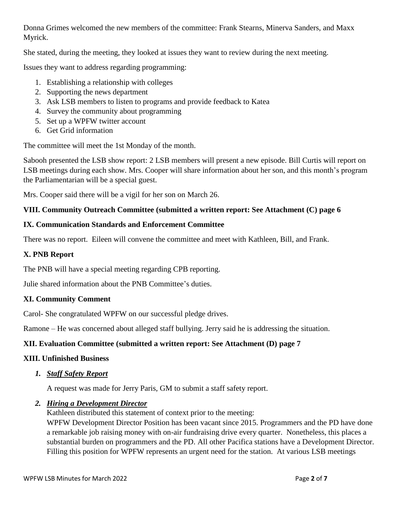Donna Grimes welcomed the new members of the committee: Frank Stearns, Minerva Sanders, and Maxx Myrick.

She stated, during the meeting, they looked at issues they want to review during the next meeting.

Issues they want to address regarding programming:

- 1. Establishing a relationship with colleges
- 2. Supporting the news department
- 3. Ask LSB members to listen to programs and provide feedback to Katea
- 4. Survey the community about programming
- 5. Set up a WPFW twitter account
- 6. Get Grid information

The committee will meet the 1st Monday of the month.

Sabooh presented the LSB show report: 2 LSB members will present a new episode. Bill Curtis will report on LSB meetings during each show. Mrs. Cooper will share information about her son, and this month's program the Parliamentarian will be a special guest.

Mrs. Cooper said there will be a vigil for her son on March 26.

## **VIII. Community Outreach Committee (submitted a written report: See Attachment (C) page 6**

## **IX. Communication Standards and Enforcement Committee**

There was no report. Eileen will convene the committee and meet with Kathleen, Bill, and Frank.

## **X. PNB Report**

The PNB will have a special meeting regarding CPB reporting.

Julie shared information about the PNB Committee's duties.

## **XI. Community Comment**

Carol- She congratulated WPFW on our successful pledge drives.

Ramone – He was concerned about alleged staff bullying. Jerry said he is addressing the situation.

# **XII. Evaluation Committee (submitted a written report: See Attachment (D) page 7**

## **XIII. Unfinished Business**

## *1. Staff Safety Report*

A request was made for Jerry Paris, GM to submit a staff safety report.

## *2. Hiring a Development Director*

Kathleen distributed this statement of context prior to the meeting:

WPFW Development Director Position has been vacant since 2015. Programmers and the PD have done a remarkable job raising money with on-air fundraising drive every quarter. Nonetheless, this places a substantial burden on programmers and the PD. All other Pacifica stations have a Development Director. Filling this position for WPFW represents an urgent need for the station. At various LSB meetings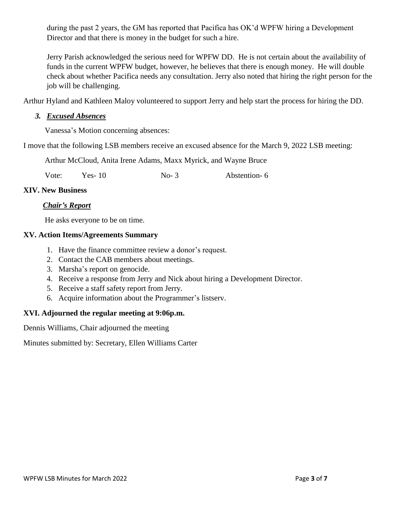during the past 2 years, the GM has reported that Pacifica has OK'd WPFW hiring a Development Director and that there is money in the budget for such a hire.

Jerry Parish acknowledged the serious need for WPFW DD. He is not certain about the availability of funds in the current WPFW budget, however, he believes that there is enough money. He will double check about whether Pacifica needs any consultation. Jerry also noted that hiring the right person for the job will be challenging.

Arthur Hyland and Kathleen Maloy volunteered to support Jerry and help start the process for hiring the DD.

#### *3. Excused Absences*

Vanessa's Motion concerning absences:

I move that the following LSB members receive an excused absence for the March 9, 2022 LSB meeting:

Arthur McCloud, Anita Irene Adams, Maxx Myrick, and Wayne Bruce

Vote: Yes- 10 No- 3 Abstention- 6

#### **XIV. New Business**

## *Chair's Report*

He asks everyone to be on time.

#### **XV. Action Items/Agreements Summary**

- 1. Have the finance committee review a donor's request.
- 2. Contact the CAB members about meetings.
- 3. Marsha's report on genocide.
- 4. Receive a response from Jerry and Nick about hiring a Development Director.
- 5. Receive a staff safety report from Jerry.
- 6. Acquire information about the Programmer's listserv.

## **XVI. Adjourned the regular meeting at 9:06p.m.**

Dennis Williams, Chair adjourned the meeting

Minutes submitted by: Secretary, Ellen Williams Carter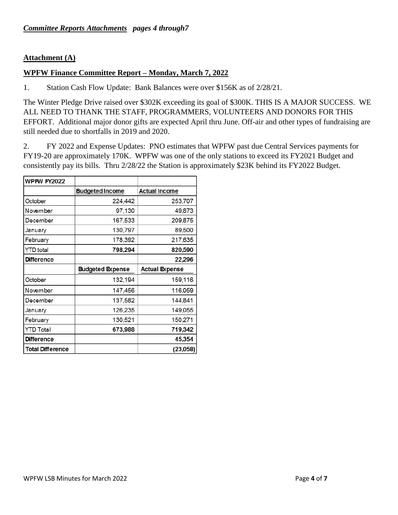#### **Attachment (A)**

#### **WPFW Finance Committee Report – Monday, March 7, 2022**

1. Station Cash Flow Update: Bank Balances were over \$156K as of 2/28/21.

The Winter Pledge Drive raised over \$302K exceeding its goal of \$300K. THIS IS A MAJOR SUCCESS. WE ALL NEED TO THANK THE STAFF, PROGRAMMERS, VOLUNTEERS AND DONORS FOR THIS EFFORT. Additional major donor gifts are expected April thru June. Off-air and other types of fundraising are still needed due to shortfalls in 2019 and 2020.

2. FY 2022 and Expense Updates: PNO estimates that WPFW past due Central Services payments for FY19-20 are approximately 170K. WPFW was one of the only stations to exceed its FY2021 Budget and consistently pay its bills. Thru 2/28/22 the Station is approximately \$23K behind its FY2022 Budget.

| <b>WPFW FY2022</b>      |                         |                       |
|-------------------------|-------------------------|-----------------------|
|                         | <b>Budgeted Income</b>  | <b>Actual Income</b>  |
| October                 | 224,442                 | 253,707               |
| November                | 97,130                  | 49,873                |
| December                | 167,533                 | 209,875               |
| January                 | 130,797                 | 89,500                |
| February                | 178,392                 | 217,635               |
| YTD total               | 798,294                 | 820,590               |
| <b>Difference</b>       |                         | 22,296                |
|                         | <b>Budgeted Expense</b> | <b>Actual Expense</b> |
| October                 | 132,194                 | 159,116               |
| November                | 147,456                 | 116,059               |
| December                | 137,582                 | 144,841               |
| January                 | 126,235                 | 149,055               |
| February                | 130,521                 | 150,271               |
| YTD Total               | 673,988                 | 719,342               |
| <b>Difference</b>       |                         | 45,354                |
| <b>Total Difference</b> |                         | (23,058)              |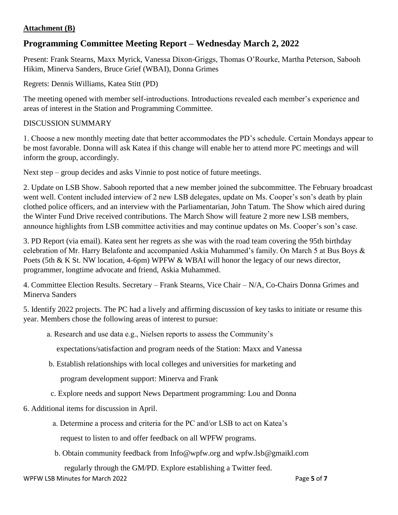## **Attachment (B)**

# **Programming Committee Meeting Report – Wednesday March 2, 2022**

Present: Frank Stearns, Maxx Myrick, Vanessa Dixon-Griggs, Thomas O'Rourke, Martha Peterson, Sabooh Hikim, Minerva Sanders, Bruce Grief (WBAI), Donna Grimes

Regrets: Dennis Williams, Katea Stitt (PD)

The meeting opened with member self-introductions. Introductions revealed each member's experience and areas of interest in the Station and Programming Committee.

## DISCUSSION SUMMARY

1. Choose a new monthly meeting date that better accommodates the PD's schedule. Certain Mondays appear to be most favorable. Donna will ask Katea if this change will enable her to attend more PC meetings and will inform the group, accordingly.

Next step – group decides and asks Vinnie to post notice of future meetings.

2. Update on LSB Show. Sabooh reported that a new member joined the subcommittee. The February broadcast went well. Content included interview of 2 new LSB delegates, update on Ms. Cooper's son's death by plain clothed police officers, and an interview with the Parliamentarian, John Tatum. The Show which aired during the Winter Fund Drive received contributions. The March Show will feature 2 more new LSB members, announce highlights from LSB committee activities and may continue updates on Ms. Cooper's son's case.

3. PD Report (via email). Katea sent her regrets as she was with the road team covering the 95th birthday celebration of Mr. Harry Belafonte and accompanied Askia Muhammed's family. On March 5 at Bus Boys & Poets (5th & K St. NW location, 4-6pm) WPFW & WBAI will honor the legacy of our news director, programmer, longtime advocate and friend, Askia Muhammed.

4. Committee Election Results. Secretary – Frank Stearns, Vice Chair – N/A, Co-Chairs Donna Grimes and Minerva Sanders

5. Identify 2022 projects. The PC had a lively and affirming discussion of key tasks to initiate or resume this year. Members chose the following areas of interest to pursue:

a. Research and use data e.g., Nielsen reports to assess the Community's

expectations/satisfaction and program needs of the Station: Maxx and Vanessa

b. Establish relationships with local colleges and universities for marketing and

program development support: Minerva and Frank

- c. Explore needs and support News Department programming: Lou and Donna
- 6. Additional items for discussion in April.
	- a. Determine a process and criteria for the PC and/or LSB to act on Katea's

request to listen to and offer feedback on all WPFW programs.

b. Obtain community feedback from Info@wpfw.org and wpfw.lsb@gmaikl.com

regularly through the GM/PD. Explore establishing a Twitter feed.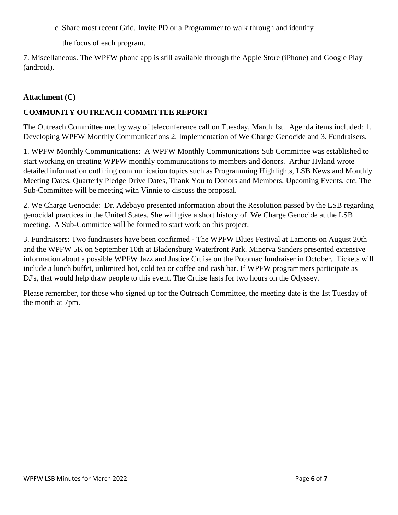c. Share most recent Grid. Invite PD or a Programmer to walk through and identify

the focus of each program.

7. Miscellaneous. The WPFW phone app is still available through the Apple Store (iPhone) and Google Play (android).

## **Attachment (C)**

## **COMMUNITY OUTREACH COMMITTEE REPORT**

The Outreach Committee met by way of teleconference call on Tuesday, March 1st. Agenda items included: 1. Developing WPFW Monthly Communications 2. Implementation of We Charge Genocide and 3. Fundraisers.

1. WPFW Monthly Communications: A WPFW Monthly Communications Sub Committee was established to start working on creating WPFW monthly communications to members and donors. Arthur Hyland wrote detailed information outlining communication topics such as Programming Highlights, LSB News and Monthly Meeting Dates, Quarterly Pledge Drive Dates, Thank You to Donors and Members, Upcoming Events, etc. The Sub-Committee will be meeting with Vinnie to discuss the proposal.

2. We Charge Genocide: Dr. Adebayo presented information about the Resolution passed by the LSB regarding genocidal practices in the United States. She will give a short history of We Charge Genocide at the LSB meeting. A Sub-Committee will be formed to start work on this project.

3. Fundraisers: Two fundraisers have been confirmed - The WPFW Blues Festival at Lamonts on August 20th and the WPFW 5K on September 10th at Bladensburg Waterfront Park. Minerva Sanders presented extensive information about a possible WPFW Jazz and Justice Cruise on the Potomac fundraiser in October. Tickets will include a lunch buffet, unlimited hot, cold tea or coffee and cash bar. If WPFW programmers participate as DJ's, that would help draw people to this event. The Cruise lasts for two hours on the Odyssey.

Please remember, for those who signed up for the Outreach Committee, the meeting date is the 1st Tuesday of the month at 7pm.